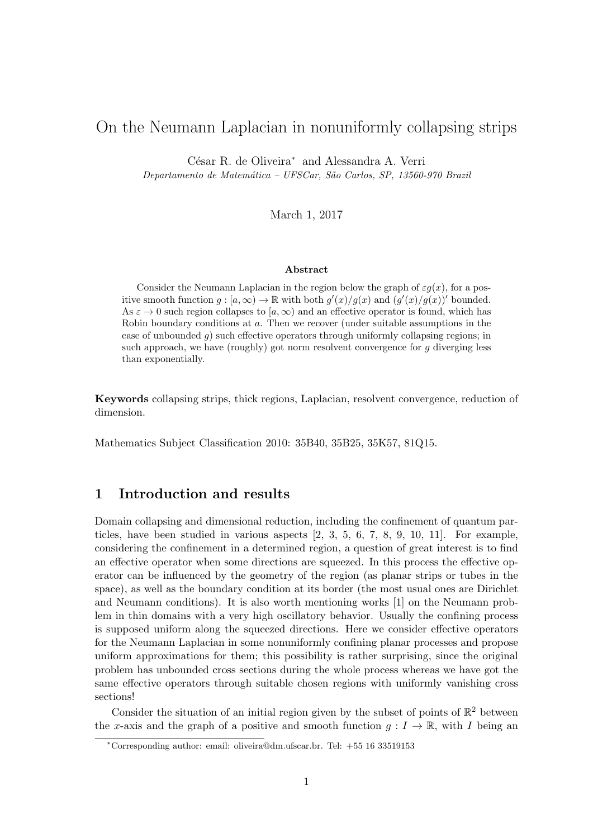# On the Neumann Laplacian in nonuniformly collapsing strips

César R. de Oliveira<sup>∗</sup> and Alessandra A. Verri

Departamento de Matemática - UFSCar, São Carlos, SP, 13560-970 Brazil

March 1, 2017

#### Abstract

Consider the Neumann Laplacian in the region below the graph of  $\varepsilon g(x)$ , for a positive smooth function  $g: [a, \infty) \to \mathbb{R}$  with both  $g'(x)/g(x)$  and  $(g'(x)/g(x))'$  bounded. As  $\varepsilon \to 0$  such region collapses to  $[a,\infty)$  and an effective operator is found, which has Robin boundary conditions at a. Then we recover (under suitable assumptions in the case of unbounded q) such effective operators through uniformly collapsing regions; in such approach, we have (roughly) got norm resolvent convergence for  $q$  diverging less than exponentially.

Keywords collapsing strips, thick regions, Laplacian, resolvent convergence, reduction of dimension.

Mathematics Subject Classification 2010: 35B40, 35B25, 35K57, 81Q15.

# 1 Introduction and results

Domain collapsing and dimensional reduction, including the confinement of quantum particles, have been studied in various aspects [2, 3, 5, 6, 7, 8, 9, 10, 11]. For example, considering the confinement in a determined region, a question of great interest is to find an effective operator when some directions are squeezed. In this process the effective operator can be influenced by the geometry of the region (as planar strips or tubes in the space), as well as the boundary condition at its border (the most usual ones are Dirichlet and Neumann conditions). It is also worth mentioning works [1] on the Neumann problem in thin domains with a very high oscillatory behavior. Usually the confining process is supposed uniform along the squeezed directions. Here we consider effective operators for the Neumann Laplacian in some nonuniformly confining planar processes and propose uniform approximations for them; this possibility is rather surprising, since the original problem has unbounded cross sections during the whole process whereas we have got the same effective operators through suitable chosen regions with uniformly vanishing cross sections!

Consider the situation of an initial region given by the subset of points of  $\mathbb{R}^2$  between the x-axis and the graph of a positive and smooth function  $q: I \to \mathbb{R}$ , with I being an

<sup>∗</sup>Corresponding author: email: oliveira@dm.ufscar.br. Tel: +55 16 33519153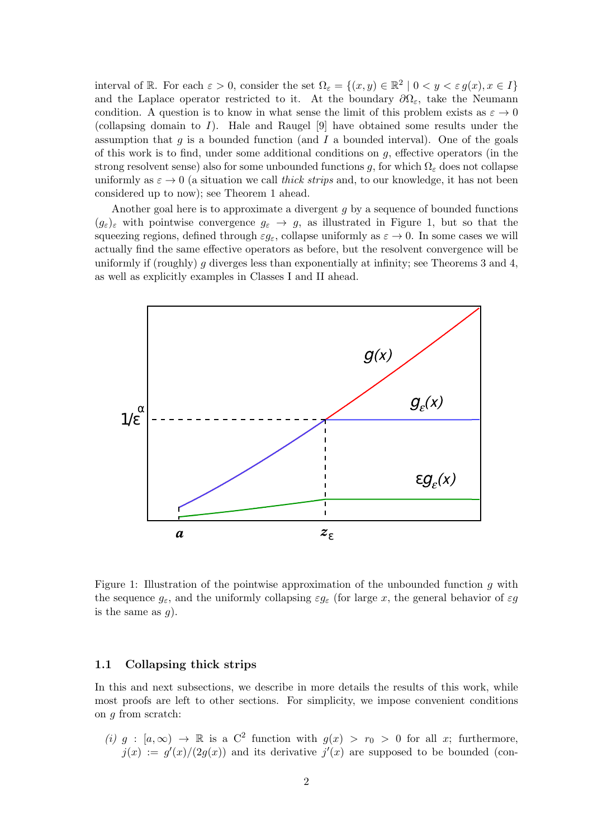interval of R. For each  $\varepsilon > 0$ , consider the set  $\Omega_{\varepsilon} = \{(x, y) \in \mathbb{R}^2 \mid 0 < y < \varepsilon g(x), x \in I\}$ and the Laplace operator restricted to it. At the boundary  $\partial\Omega_{\varepsilon}$ , take the Neumann condition. A question is to know in what sense the limit of this problem exists as  $\varepsilon \to 0$ (collapsing domain to  $I$ ). Hale and Raugel [9] have obtained some results under the assumption that  $g$  is a bounded function (and  $I$  a bounded interval). One of the goals of this work is to find, under some additional conditions on  $g$ , effective operators (in the strong resolvent sense) also for some unbounded functions g, for which  $\Omega_{\varepsilon}$  does not collapse uniformly as  $\varepsilon \to 0$  (a situation we call *thick strips* and, to our knowledge, it has not been considered up to now); see Theorem 1 ahead.

Another goal here is to approximate a divergent g by a sequence of bounded functions  $(g_{\varepsilon})_{\varepsilon}$  with pointwise convergence  $g_{\varepsilon} \to g$ , as illustrated in Figure 1, but so that the squeezing regions, defined through  $\varepsilon g_{\varepsilon}$ , collapse uniformly as  $\varepsilon \to 0$ . In some cases we will actually find the same effective operators as before, but the resolvent convergence will be uniformly if (roughly) g diverges less than exponentially at infinity; see Theorems 3 and 4, as well as explicitly examples in Classes I and II ahead.



Figure 1: Illustration of the pointwise approximation of the unbounded function  $q$  with the sequence  $g_{\varepsilon}$ , and the uniformly collapsing  $\varepsilon g_{\varepsilon}$  (for large x, the general behavior of  $\varepsilon g$ is the same as  $q$ ).

### 1.1 Collapsing thick strips

In this and next subsections, we describe in more details the results of this work, while most proofs are left to other sections. For simplicity, we impose convenient conditions on g from scratch:

(i)  $g : [a, \infty) \to \mathbb{R}$  is a C<sup>2</sup> function with  $g(x) > r_0 > 0$  for all x; furthermore,  $j(x) := g'(x)/(2g(x))$  and its derivative  $j'(x)$  are supposed to be bounded (con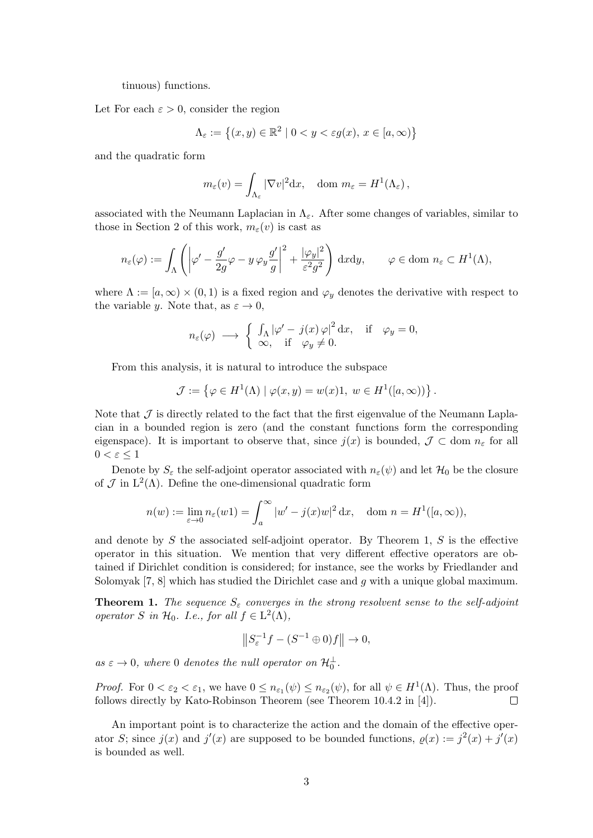tinuous) functions.

Let For each  $\varepsilon > 0$ , consider the region

$$
\Lambda_{\varepsilon} := \left\{ (x, y) \in \mathbb{R}^2 \mid 0 < y < \varepsilon g(x), \, x \in [a, \infty) \right\}
$$

and the quadratic form

$$
m_{\varepsilon}(v) = \int_{\Lambda_{\varepsilon}} |\nabla v|^2 dx
$$
, dom  $m_{\varepsilon} = H^1(\Lambda_{\varepsilon})$ ,

associated with the Neumann Laplacian in  $\Lambda_{\varepsilon}$ . After some changes of variables, similar to those in Section 2 of this work,  $m_{\varepsilon}(v)$  is cast as

$$
n_{\varepsilon}(\varphi) := \int_{\Lambda} \left( \left| \varphi' - \frac{g'}{2g} \varphi - y \, \varphi_{y} \frac{g'}{g} \right|^{2} + \frac{|\varphi_{y}|^{2}}{\varepsilon^{2} g^{2}} \right) \, dx \, dy, \qquad \varphi \in \text{dom } n_{\varepsilon} \subset H^{1}(\Lambda),
$$

where  $\Lambda := [a, \infty) \times (0, 1)$  is a fixed region and  $\varphi_y$  denotes the derivative with respect to the variable y. Note that, as  $\varepsilon \to 0$ ,

$$
n_{\varepsilon}(\varphi) \longrightarrow \begin{cases} \int_{\Lambda} |\varphi' - j(x) \varphi|^2 dx, & \text{if } \varphi_y = 0, \\ \infty, & \text{if } \varphi_y \neq 0. \end{cases}
$$

From this analysis, it is natural to introduce the subspace

$$
\mathcal{J} := \left\{ \varphi \in H^1(\Lambda) \mid \varphi(x, y) = w(x)1, \ w \in H^1([a, \infty)) \right\}.
$$

Note that  $\mathcal J$  is directly related to the fact that the first eigenvalue of the Neumann Laplacian in a bounded region is zero (and the constant functions form the corresponding eigenspace). It is important to observe that, since  $j(x)$  is bounded,  $\mathcal{J} \subset$  dom  $n_{\varepsilon}$  for all  $0 < \varepsilon \leq 1$ 

Denote by  $S_{\varepsilon}$  the self-adjoint operator associated with  $n_{\varepsilon}(\psi)$  and let  $\mathcal{H}_0$  be the closure of  $\mathcal J$  in  $L^2(\Lambda)$ . Define the one-dimensional quadratic form

$$
n(w) := \lim_{\varepsilon \to 0} n_{\varepsilon}(w1) = \int_{a}^{\infty} |w' - j(x)w|^2 dx, \quad \text{dom } n = H^1([a, \infty)),
$$

and denote by  $S$  the associated self-adjoint operator. By Theorem 1,  $S$  is the effective operator in this situation. We mention that very different effective operators are obtained if Dirichlet condition is considered; for instance, see the works by Friedlander and Solomyak  $[7, 8]$  which has studied the Dirichlet case and g with a unique global maximum.

**Theorem 1.** The sequence  $S_{\varepsilon}$  converges in the strong resolvent sense to the self-adjoint operator S in  $\mathcal{H}_0$ . I.e., for all  $f \in L^2(\Lambda)$ ,

$$
\left\|S_{\varepsilon}^{-1}f - (S^{-1} \oplus 0)f\right\| \to 0,
$$

as  $\varepsilon \to 0$ , where 0 denotes the null operator on  $\mathcal{H}_{0}^{\perp}$ .

*Proof.* For  $0 < \varepsilon_2 < \varepsilon_1$ , we have  $0 \leq n_{\varepsilon_1}(\psi) \leq n_{\varepsilon_2}(\psi)$ , for all  $\psi \in H^1(\Lambda)$ . Thus, the proof follows directly by Kato-Robinson Theorem (see Theorem 10.4.2 in [4]).  $\Box$ 

An important point is to characterize the action and the domain of the effective operator S; since  $j(x)$  and  $j'(x)$  are supposed to be bounded functions,  $\rho(x) := j^2(x) + j'(x)$ is bounded as well.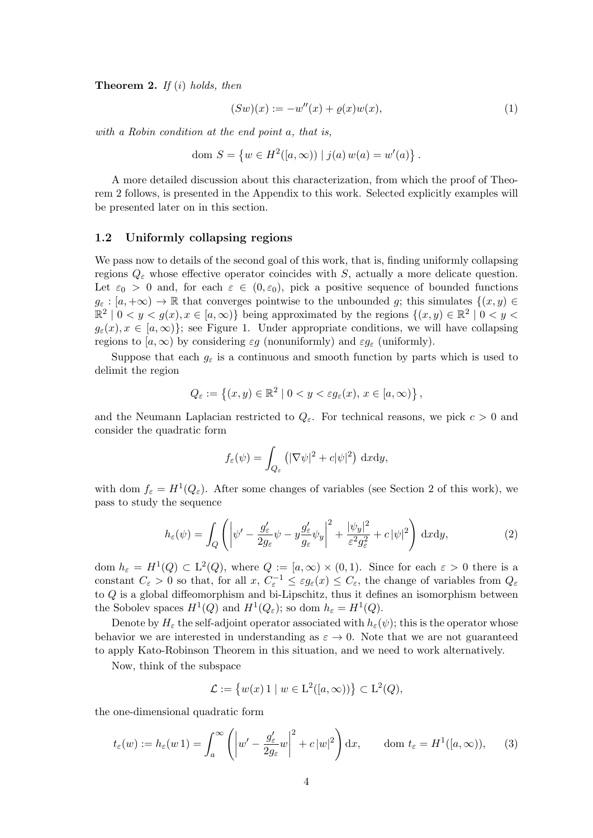**Theorem 2.** If  $(i)$  holds, then

$$
(Sw)(x) := -w''(x) + \varrho(x)w(x), \tag{1}
$$

with a Robin condition at the end point a, that is,

dom  $S = \{w \in H^2([a,\infty)) \mid j(a) w(a) = w'(a)\}.$ 

A more detailed discussion about this characterization, from which the proof of Theorem 2 follows, is presented in the Appendix to this work. Selected explicitly examples will be presented later on in this section.

#### 1.2 Uniformly collapsing regions

We pass now to details of the second goal of this work, that is, finding uniformly collapsing regions  $Q_{\varepsilon}$  whose effective operator coincides with S, actually a more delicate question. Let  $\varepsilon_0 > 0$  and, for each  $\varepsilon \in (0, \varepsilon_0)$ , pick a positive sequence of bounded functions  $g_{\varepsilon} : [a, +\infty) \to \mathbb{R}$  that converges pointwise to the unbounded g; this simulates  $\{(x, y) \in$  $\mathbb{R}^2 \mid 0 < y < g(x), x \in [a, \infty)$  being approximated by the regions  $\{(x, y) \in \mathbb{R}^2 \mid 0 < y < g(x)\}$  $g_{\varepsilon}(x), x \in [a,\infty)$ ; see Figure 1. Under appropriate conditions, we will have collapsing regions to  $[a,\infty)$  by considering  $\varepsilon g$  (nonuniformly) and  $\varepsilon g_{\varepsilon}$  (uniformly).

Suppose that each  $g_{\varepsilon}$  is a continuous and smooth function by parts which is used to delimit the region

$$
Q_{\varepsilon} := \left\{ (x, y) \in \mathbb{R}^2 \mid 0 < y < \varepsilon g_{\varepsilon}(x), \, x \in [a, \infty) \right\},
$$

and the Neumann Laplacian restricted to  $Q_{\varepsilon}$ . For technical reasons, we pick  $c > 0$  and consider the quadratic form

$$
f_{\varepsilon}(\psi) = \int_{Q_{\varepsilon}} \left( |\nabla \psi|^2 + c |\psi|^2 \right) \, \mathrm{d}x \mathrm{d}y,
$$

with dom  $f_{\varepsilon} = H^1(Q_{\varepsilon})$ . After some changes of variables (see Section 2 of this work), we pass to study the sequence

$$
h_{\varepsilon}(\psi) = \int_{Q} \left( \left| \psi' - \frac{g_{\varepsilon}'}{2g_{\varepsilon}} \psi - y \frac{g_{\varepsilon}'}{g_{\varepsilon}} \psi_{y} \right|^{2} + \frac{|\psi_{y}|^{2}}{\varepsilon^{2} g_{\varepsilon}^{2}} + c |\psi|^{2} \right) dxdy, \tag{2}
$$

dom  $h_{\varepsilon} = H^1(Q) \subset L^2(Q)$ , where  $Q := [a, \infty) \times (0, 1)$ . Since for each  $\varepsilon > 0$  there is a constant  $C_{\varepsilon} > 0$  so that, for all  $x, C_{\varepsilon}^{-1} \leq \varepsilon g_{\varepsilon}(x) \leq C_{\varepsilon}$ , the change of variables from  $Q_{\varepsilon}$ to Q is a global diffeomorphism and bi-Lipschitz, thus it defines an isomorphism between the Sobolev spaces  $H^1(Q)$  and  $H^1(Q_\varepsilon)$ ; so dom  $h_\varepsilon = H^1(Q)$ .

Denote by  $H_{\varepsilon}$  the self-adjoint operator associated with  $h_{\varepsilon}(\psi)$ ; this is the operator whose behavior we are interested in understanding as  $\varepsilon \to 0$ . Note that we are not guaranteed to apply Kato-Robinson Theorem in this situation, and we need to work alternatively.

Now, think of the subspace

$$
\mathcal{L} := \{ w(x) 1 \mid w \in \mathcal{L}^2([a,\infty)) \} \subset \mathcal{L}^2(Q),
$$

the one-dimensional quadratic form

$$
t_{\varepsilon}(w) := h_{\varepsilon}(w\,1) = \int_{a}^{\infty} \left( \left| w' - \frac{g_{\varepsilon}'}{2g_{\varepsilon}} w \right|^{2} + c\,|w|^{2} \right) dx, \qquad \text{dom } t_{\varepsilon} = H^{1}([a,\infty)), \tag{3}
$$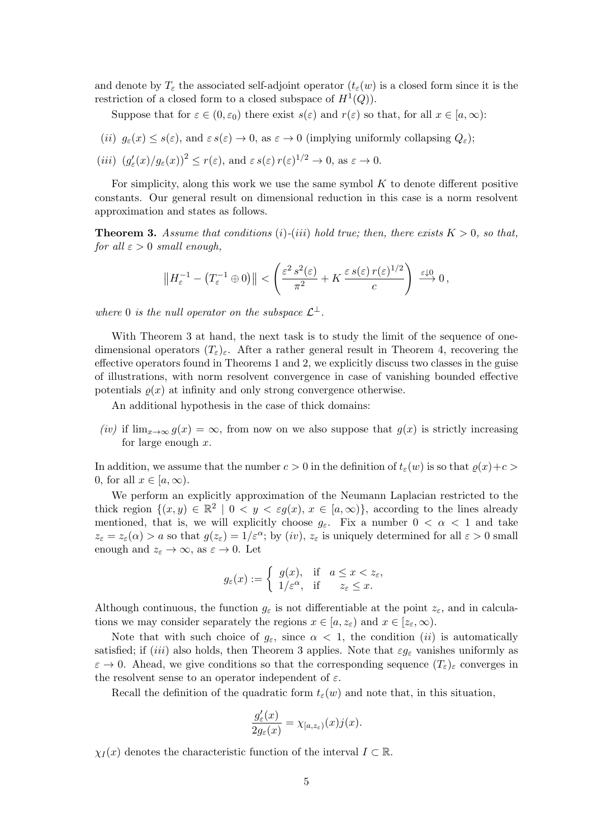and denote by  $T_{\varepsilon}$  the associated self-adjoint operator  $(t_{\varepsilon}(w))$  is a closed form since it is the restriction of a closed form to a closed subspace of  $H^1(Q)$ .

Suppose that for  $\varepsilon \in (0, \varepsilon_0)$  there exist  $s(\varepsilon)$  and  $r(\varepsilon)$  so that, for all  $x \in [a, \infty)$ :

- (ii)  $g_{\varepsilon}(x) \leq s(\varepsilon)$ , and  $\varepsilon s(\varepsilon) \to 0$ , as  $\varepsilon \to 0$  (implying uniformly collapsing  $Q_{\varepsilon}$ );
- (*iii*)  $(g'_{\varepsilon}(x)/g_{\varepsilon}(x))^2 \le r(\varepsilon)$ , and  $\varepsilon s(\varepsilon) r(\varepsilon)^{1/2} \to 0$ , as  $\varepsilon \to 0$ .

For simplicity, along this work we use the same symbol  $K$  to denote different positive constants. Our general result on dimensional reduction in this case is a norm resolvent approximation and states as follows.

**Theorem 3.** Assume that conditions (i)-(iii) hold true; then, there exists  $K > 0$ , so that, for all  $\varepsilon > 0$  small enough,

$$
\left\|H_{\varepsilon}^{-1} - \left(T_{\varepsilon}^{-1} \oplus 0\right)\right\| < \left(\frac{\varepsilon^2 \, s^2(\varepsilon)}{\pi^2} + K \, \frac{\varepsilon \, s(\varepsilon) \, r(\varepsilon)^{1/2}}{c}\right) \xrightarrow{\varepsilon \downarrow 0} 0,
$$

where 0 is the null operator on the subspace  $\mathcal{L}^{\perp}$ .

With Theorem 3 at hand, the next task is to study the limit of the sequence of onedimensional operators  $(T_{\varepsilon})_{\varepsilon}$ . After a rather general result in Theorem 4, recovering the effective operators found in Theorems 1 and 2, we explicitly discuss two classes in the guise of illustrations, with norm resolvent convergence in case of vanishing bounded effective potentials  $\rho(x)$  at infinity and only strong convergence otherwise.

An additional hypothesis in the case of thick domains:

(iv) if  $\lim_{x\to\infty} g(x) = \infty$ , from now on we also suppose that  $g(x)$  is strictly increasing for large enough  $x$ .

In addition, we assume that the number  $c > 0$  in the definition of  $t_{\varepsilon}(w)$  is so that  $\rho(x)+c$ 0, for all  $x \in [a,\infty)$ .

We perform an explicitly approximation of the Neumann Laplacian restricted to the thick region  $\{(x, y) \in \mathbb{R}^2 \mid 0 < y < \varepsilon g(x), x \in [a, \infty)\}\$ , according to the lines already mentioned, that is, we will explicitly choose  $g_{\varepsilon}$ . Fix a number  $0 < \alpha < 1$  and take  $z_{\varepsilon} = z_{\varepsilon}(\alpha) > a$  so that  $g(z_{\varepsilon}) = 1/\varepsilon^{\alpha}$ ; by  $(iv)$ ,  $z_{\varepsilon}$  is uniquely determined for all  $\varepsilon > 0$  small enough and  $z_{\varepsilon} \to \infty$ , as  $\varepsilon \to 0$ . Let

$$
g_{\varepsilon}(x) := \begin{cases} g(x), & \text{if } a \leq x < z_{\varepsilon}, \\ 1/\varepsilon^{\alpha}, & \text{if } z_{\varepsilon} \leq x. \end{cases}
$$

Although continuous, the function  $g_{\varepsilon}$  is not differentiable at the point  $z_{\varepsilon}$ , and in calculations we may consider separately the regions  $x \in [a, z_{\varepsilon})$  and  $x \in [z_{\varepsilon}, \infty)$ .

Note that with such choice of  $g_{\varepsilon}$ , since  $\alpha < 1$ , the condition (*ii*) is automatically satisfied; if (iii) also holds, then Theorem 3 applies. Note that  $\varepsilon g_{\varepsilon}$  vanishes uniformly as  $\varepsilon \to 0$ . Ahead, we give conditions so that the corresponding sequence  $(T_{\varepsilon})_{\varepsilon}$  converges in the resolvent sense to an operator independent of  $\varepsilon$ .

Recall the definition of the quadratic form  $t_{\epsilon}(w)$  and note that, in this situation,

$$
\frac{g_{\varepsilon}'(x)}{2g_{\varepsilon}(x)} = \chi_{[a,z_{\varepsilon})}(x)j(x).
$$

 $\chi_I(x)$  denotes the characteristic function of the interval  $I \subset \mathbb{R}$ .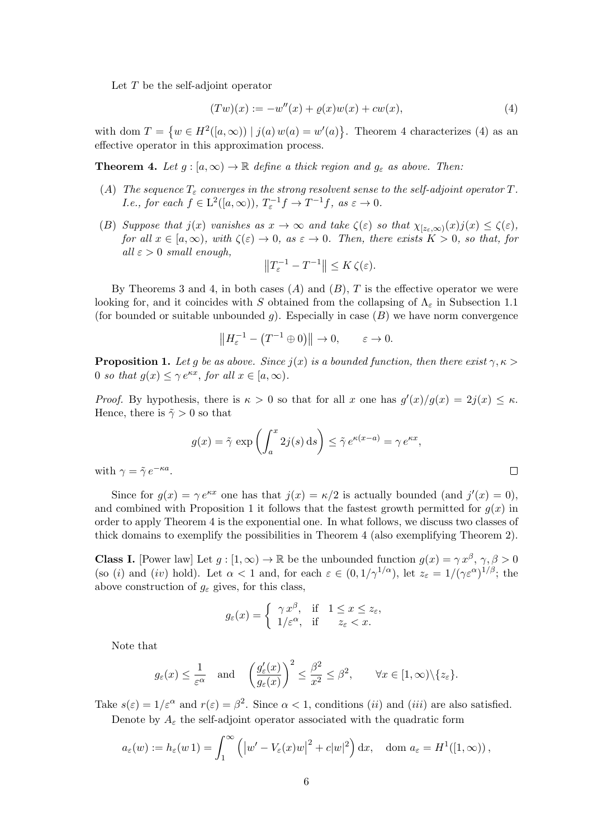Let  $T$  be the self-adjoint operator

$$
(Tw)(x) := -w''(x) + \varrho(x)w(x) + cw(x), \tag{4}
$$

with dom  $T = \{w \in H^2([a,\infty)) \mid j(a) w(a) = w'(a)\}.$  Theorem 4 characterizes (4) as an effective operator in this approximation process.

**Theorem 4.** Let  $g : [a, \infty) \to \mathbb{R}$  define a thick region and  $g_{\varepsilon}$  as above. Then:

- (A) The sequence  $T_{\varepsilon}$  converges in the strong resolvent sense to the self-adjoint operator T. *I.e., for each*  $f \in L^2([a,\infty))$ ,  $T_{\varepsilon}^{-1}f \to T^{-1}f$ , as  $\varepsilon \to 0$ .
- (B) Suppose that  $j(x)$  vanishes as  $x \to \infty$  and take  $\zeta(\varepsilon)$  so that  $\chi_{[z_{\varepsilon}, \infty)}(x)j(x) \leq \zeta(\varepsilon)$ , for all  $x \in [a,\infty)$ , with  $\zeta(\varepsilon) \to 0$ , as  $\varepsilon \to 0$ . Then, there exists  $K > 0$ , so that, for all  $\varepsilon > 0$  small enough,

$$
\left\|T_{\varepsilon}^{-1} - T^{-1}\right\| \le K\,\zeta(\varepsilon).
$$

By Theorems 3 and 4, in both cases  $(A)$  and  $(B)$ , T is the effective operator we were looking for, and it coincides with S obtained from the collapsing of  $\Lambda_{\epsilon}$  in Subsection 1.1 (for bounded or suitable unbounded  $g$ ). Especially in case  $(B)$  we have norm convergence

$$
\left\|H_{\varepsilon}^{-1} - \left(T^{-1} \oplus 0\right)\right\| \to 0, \qquad \varepsilon \to 0.
$$

**Proposition 1.** Let g be as above. Since  $j(x)$  is a bounded function, then there exist  $\gamma, \kappa > 0$ 0 so that  $g(x) \leq \gamma e^{\kappa x}$ , for all  $x \in [a, \infty)$ .

*Proof.* By hypothesis, there is  $\kappa > 0$  so that for all x one has  $g'(x)/g(x) = 2j(x) \leq \kappa$ . Hence, there is  $\tilde{\gamma} > 0$  so that

$$
g(x) = \tilde{\gamma} \exp\left(\int_a^x 2j(s) \, ds\right) \le \tilde{\gamma} e^{\kappa(x-a)} = \gamma e^{\kappa x},
$$

 $\Box$ 

with  $\gamma = \tilde{\gamma} e^{-\kappa a}$ .

Since for  $g(x) = \gamma e^{\kappa x}$  one has that  $j(x) = \kappa/2$  is actually bounded (and  $j'(x) = 0$ ), and combined with Proposition 1 it follows that the fastest growth permitted for  $g(x)$  in order to apply Theorem 4 is the exponential one. In what follows, we discuss two classes of thick domains to exemplify the possibilities in Theorem 4 (also exemplifying Theorem 2).

**Class I.** [Power law] Let  $g: [1, \infty) \to \mathbb{R}$  be the unbounded function  $g(x) = \gamma x^{\beta}, \gamma, \beta > 0$ (so (i) and (iv) hold). Let  $\alpha < 1$  and, for each  $\varepsilon \in (0, 1/\gamma^{1/\alpha})$ , let  $z_{\varepsilon} = 1/(\gamma \varepsilon^{\alpha})^{1/\beta}$ ; the above construction of  $g_{\varepsilon}$  gives, for this class,

$$
g_{\varepsilon}(x) = \begin{cases} \gamma x^{\beta}, & \text{if } 1 \leq x \leq z_{\varepsilon}, \\ 1/\varepsilon^{\alpha}, & \text{if } z_{\varepsilon} < x. \end{cases}
$$

Note that

$$
g_{\varepsilon}(x) \leq \frac{1}{\varepsilon^{\alpha}}
$$
 and  $\left(\frac{g'_{\varepsilon}(x)}{g_{\varepsilon}(x)}\right)^2 \leq \frac{\beta^2}{x^2} \leq \beta^2$ ,  $\forall x \in [1, \infty) \setminus \{z_{\varepsilon}\}.$ 

Take  $s(\varepsilon) = 1/\varepsilon^{\alpha}$  and  $r(\varepsilon) = \beta^2$ . Since  $\alpha < 1$ , conditions *(ii)* and *(iii)* are also satisfied. Denote by  $A_{\varepsilon}$  the self-adjoint operator associated with the quadratic form

$$
a_{\varepsilon}(w) := h_{\varepsilon}(w\,1) = \int_1^{\infty} \left( \left| w' - V_{\varepsilon}(x)w \right|^2 + c|w|^2 \right) dx, \quad \text{dom } a_{\varepsilon} = H^1([1, \infty)),
$$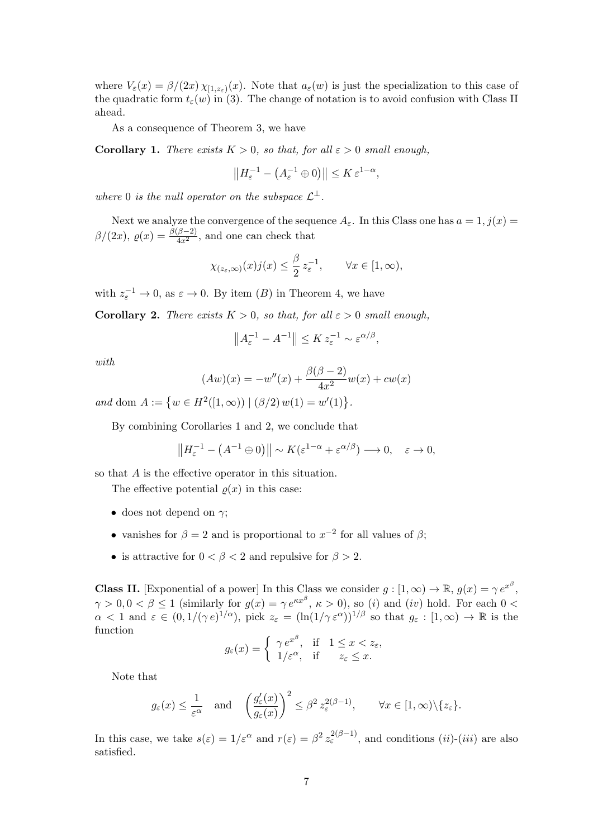where  $V_{\varepsilon}(x) = \beta/(2x) \chi_{[1,z_{\varepsilon})}(x)$ . Note that  $a_{\varepsilon}(w)$  is just the specialization to this case of the quadratic form  $t_{\varepsilon}(w)$  in (3). The change of notation is to avoid confusion with Class II ahead.

As a consequence of Theorem 3, we have

**Corollary 1.** There exists  $K > 0$ , so that, for all  $\varepsilon > 0$  small enough,

$$
\left\|H_{\varepsilon}^{-1} - \left(A_{\varepsilon}^{-1} \oplus 0\right)\right\| \le K \, \varepsilon^{1-\alpha},
$$

where 0 is the null operator on the subspace  $\mathcal{L}^{\perp}$ .

Next we analyze the convergence of the sequence  $A_{\varepsilon}$ . In this Class one has  $a = 1, j(x) =$  $\beta/(2x)$ ,  $\varrho(x) = \frac{\beta(\beta-2)}{4x^2}$ , and one can check that

$$
\chi_{(z_\varepsilon,\infty)}(x)j(x) \le \frac{\beta}{2} z_\varepsilon^{-1}, \qquad \forall x \in [1,\infty),
$$

with  $z_{\varepsilon}^{-1} \to 0$ , as  $\varepsilon \to 0$ . By item  $(B)$  in Theorem 4, we have

Corollary 2. There exists  $K > 0$ , so that, for all  $\varepsilon > 0$  small enough,

$$
||A_{\varepsilon}^{-1} - A^{-1}|| \le K z_{\varepsilon}^{-1} \sim \varepsilon^{\alpha/\beta},
$$

with

$$
(Aw)(x) = -w''(x) + \frac{\beta(\beta - 2)}{4x^2}w(x) + cw(x)
$$

and dom  $A := \{ w \in H^2([1, \infty)) \mid (\beta/2) w(1) = w'(1) \}.$ 

By combining Corollaries 1 and 2, we conclude that

$$
\left\|H_{\varepsilon}^{-1} - \left(A^{-1} \oplus 0\right)\right\| \sim K(\varepsilon^{1-\alpha} + \varepsilon^{\alpha/\beta}) \longrightarrow 0, \quad \varepsilon \to 0,
$$

so that A is the effective operator in this situation.

The effective potential  $\rho(x)$  in this case:

- does not depend on  $\gamma$ ;
- vanishes for  $\beta = 2$  and is proportional to  $x^{-2}$  for all values of  $\beta$ ;
- is attractive for  $0 < \beta < 2$  and repulsive for  $\beta > 2$ .

**Class II.** [Exponential of a power] In this Class we consider  $g : [1, \infty) \to \mathbb{R}$ ,  $g(x) = \gamma e^{x^{\beta}}$ ,  $\gamma > 0, 0 < \beta \leq 1$  (similarly for  $g(x) = \gamma e^{\kappa x^{\beta}}, \kappa > 0$ ), so (i) and (iv) hold. For each  $0 <$  $\alpha < 1$  and  $\varepsilon \in (0, 1/(\gamma \, \epsilon)^{1/\alpha})$ , pick  $z_{\varepsilon} = (\ln(1/\gamma \, \varepsilon^{\alpha}))^{1/\beta}$  so that  $g_{\varepsilon} : [1, \infty) \to \mathbb{R}$  is the function

$$
g_{\varepsilon}(x) = \begin{cases} \gamma e^{x^{\beta}}, & \text{if } 1 \leq x < z_{\varepsilon}, \\ 1/\varepsilon^{\alpha}, & \text{if } z_{\varepsilon} \leq x. \end{cases}
$$

Note that

$$
g_{\varepsilon}(x) \leq \frac{1}{\varepsilon^{\alpha}}
$$
 and  $\left(\frac{g'_{\varepsilon}(x)}{g_{\varepsilon}(x)}\right)^2 \leq \beta^2 z_{\varepsilon}^{2(\beta-1)}, \quad \forall x \in [1, \infty) \setminus \{z_{\varepsilon}\}.$ 

In this case, we take  $s(\varepsilon) = 1/\varepsilon^{\alpha}$  and  $r(\varepsilon) = \beta^2 z_{\varepsilon}^{2(\beta-1)}$ , and conditions  $(ii)-(iii)$  are also satisfied.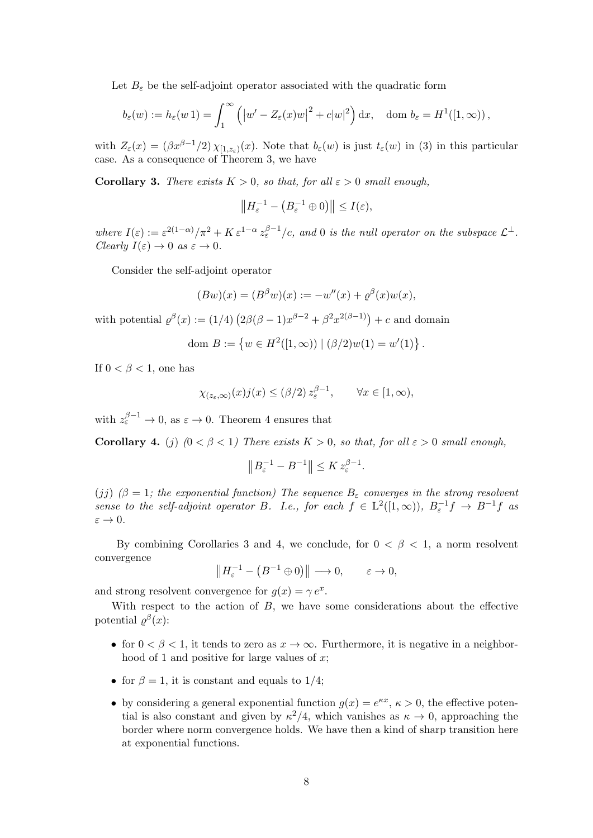Let  $B_{\varepsilon}$  be the self-adjoint operator associated with the quadratic form

$$
b_{\varepsilon}(w) := h_{\varepsilon}(w\,1) = \int_{1}^{\infty} \left( \left| w' - Z_{\varepsilon}(x)w \right|^{2} + c|w|^{2} \right) dx, \quad \text{dom } b_{\varepsilon} = H^{1}([1, \infty)),
$$

with  $Z_{\varepsilon}(x) = (\beta x^{\beta-1}/2) \chi_{[1,z_{\varepsilon})}(x)$ . Note that  $b_{\varepsilon}(w)$  is just  $t_{\varepsilon}(w)$  in (3) in this particular case. As a consequence of Theorem 3, we have

**Corollary 3.** There exists  $K > 0$ , so that, for all  $\varepsilon > 0$  small enough,

$$
||H_{\varepsilon}^{-1} - (B_{\varepsilon}^{-1} \oplus 0)|| \leq I(\varepsilon),
$$

where  $I(\varepsilon) := \varepsilon^{2(1-\alpha)}/\pi^2 + K \varepsilon^{1-\alpha} z_{\varepsilon}^{\beta-1}/c$ , and 0 is the null operator on the subspace  $\mathcal{L}^{\perp}$ . Clearly  $I(\varepsilon) \to 0$  as  $\varepsilon \to 0$ .

Consider the self-adjoint operator

$$
(Bw)(x) = (B^{\beta}w)(x) := -w''(x) + \varrho^{\beta}(x)w(x),
$$

with potential  $\varrho^{\beta}(x) := (1/4) \left( 2\beta(\beta - 1)x^{\beta - 2} + \beta^2 x^{2(\beta - 1)} \right) + c$  and domain

dom 
$$
B := \{ w \in H^2([1, \infty)) \mid (\beta/2)w(1) = w'(1) \}.
$$

If  $0 < \beta < 1$ , one has

$$
\chi_{(z_\varepsilon,\infty)}(x)j(x) \leq (\beta/2) z_\varepsilon^{\beta-1}, \qquad \forall x \in [1,\infty),
$$

with  $z_{\varepsilon}^{\beta-1} \to 0$ , as  $\varepsilon \to 0$ . Theorem 4 ensures that

Corollary 4. (j)  $(0 < \beta < 1)$  There exists  $K > 0$ , so that, for all  $\varepsilon > 0$  small enough,

$$
||B_{\varepsilon}^{-1} - B^{-1}|| \leq K z_{\varepsilon}^{\beta - 1}.
$$

(jj)  $(\beta = 1;$  the exponential function) The sequence  $B_{\varepsilon}$  converges in the strong resolvent sense to the self-adjoint operator B. I.e., for each  $f \in L^2([1,\infty))$ ,  $B_{\varepsilon}^{-1}f \to B^{-1}f$  as  $\varepsilon \to 0$ .

By combining Corollaries 3 and 4, we conclude, for  $0 < \beta < 1$ , a norm resolvent convergence

 $||H_{\varepsilon}^{-1} - (B^{-1} \oplus 0)|| \longrightarrow 0, \qquad \varepsilon \to 0,$ 

and strong resolvent convergence for  $g(x) = \gamma e^x$ .

With respect to the action of B, we have some considerations about the effective potential  $\varrho^{\beta}(x)$ :

- for  $0 < \beta < 1$ , it tends to zero as  $x \to \infty$ . Furthermore, it is negative in a neighborhood of 1 and positive for large values of  $x$ ;
- for  $\beta = 1$ , it is constant and equals to  $1/4$ ;
- by considering a general exponential function  $g(x) = e^{\kappa x}, \kappa > 0$ , the effective potential is also constant and given by  $\kappa^2/4$ , which vanishes as  $\kappa \to 0$ , approaching the border where norm convergence holds. We have then a kind of sharp transition here at exponential functions.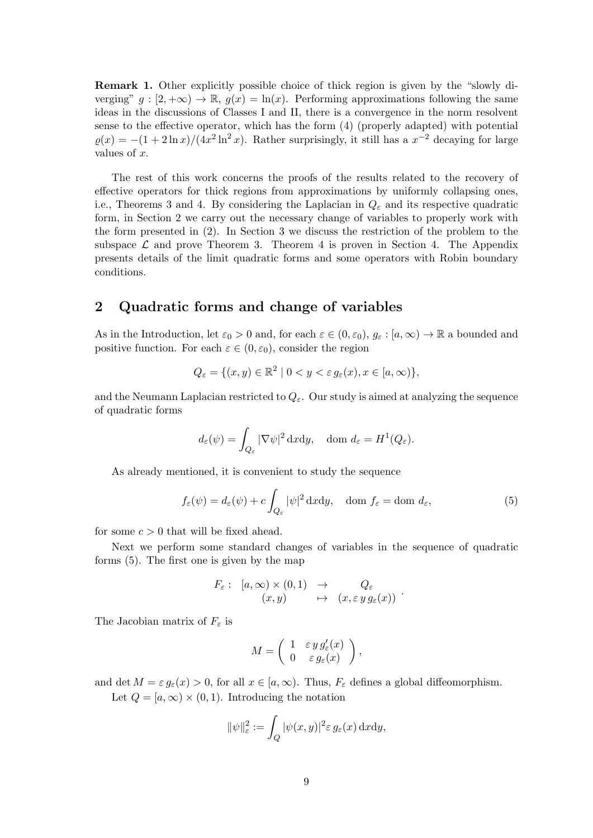Remark 1. Other explicitly possible choice of thick region is given by the "slowly diverging"  $g : [2, +\infty) \to \mathbb{R}$ ,  $g(x) = \ln(x)$ . Performing approximations following the same ideas in the discussions of Classes I and II, there is a convergence in the norm resolvent sense to the effective operator, which has the form (4) (properly adapted) with potential  $\varrho(x) = -(1+2\ln x)/(4x^2\ln^2 x)$ . Rather surprisingly, it still has a  $x^{-2}$  decaying for large values of x.

The rest of this work concerns the proofs of the results related to the recovery of effective operators for thick regions from approximations by uniformly collapsing ones, i.e., Theorems 3 and 4. By considering the Laplacian in  $Q_{\varepsilon}$  and its respective quadratic form, in Section 2 we carry out the necessary change of variables to properly work with the form presented in (2). In Section 3 we discuss the restriction of the problem to the subspace  $\mathcal L$  and prove Theorem 3. Theorem 4 is proven in Section 4. The Appendix presents details of the limit quadratic forms and some operators with Robin boundary conditions.

### 2 Quadratic forms and change of variables

As in the Introduction, let  $\varepsilon_0 > 0$  and, for each  $\varepsilon \in (0, \varepsilon_0)$ ,  $g_{\varepsilon} : [a, \infty) \to \mathbb{R}$  a bounded and positive function. For each  $\varepsilon \in (0, \varepsilon_0)$ , consider the region

$$
Q_{\varepsilon} = \{ (x, y) \in \mathbb{R}^2 \mid 0 < y < \varepsilon \, g_{\varepsilon}(x), x \in [a, \infty) \},
$$

and the Neumann Laplacian restricted to  $Q_{\varepsilon}$ . Our study is aimed at analyzing the sequence of quadratic forms

$$
d_{\varepsilon}(\psi) = \int_{Q_{\varepsilon}} |\nabla \psi|^2 \, \mathrm{d}x \mathrm{d}y, \quad \text{dom } d_{\varepsilon} = H^1(Q_{\varepsilon}).
$$

As already mentioned, it is convenient to study the sequence

$$
f_{\varepsilon}(\psi) = d_{\varepsilon}(\psi) + c \int_{Q_{\varepsilon}} |\psi|^2 \, \mathrm{d}x \mathrm{d}y, \quad \text{dom } f_{\varepsilon} = \text{dom } d_{\varepsilon}, \tag{5}
$$

for some  $c > 0$  that will be fixed ahead.

Next we perform some standard changes of variables in the sequence of quadratic forms (5). The first one is given by the map

$$
F_{\varepsilon} : [a, \infty) \times (0, 1) \rightarrow Q_{\varepsilon} (x, y) \rightarrow (x, \varepsilon y g_{\varepsilon}(x))
$$

The Jacobian matrix of  $F_{\varepsilon}$  is

$$
M = \left( \begin{array}{cc} 1 & \varepsilon \, y \, g_{\varepsilon}' (x) \\ 0 & \varepsilon \, g_{\varepsilon} (x) \end{array} \right),
$$

and det  $M = \varepsilon g_{\varepsilon}(x) > 0$ , for all  $x \in [a, \infty)$ . Thus,  $F_{\varepsilon}$  defines a global diffeomorphism.

Let  $Q = [a, \infty) \times (0, 1)$ . Introducing the notation

$$
\|\psi\|_{\varepsilon}^2 := \int_Q |\psi(x, y)|^2 \varepsilon g_{\varepsilon}(x) \, \mathrm{d}x \mathrm{d}y,
$$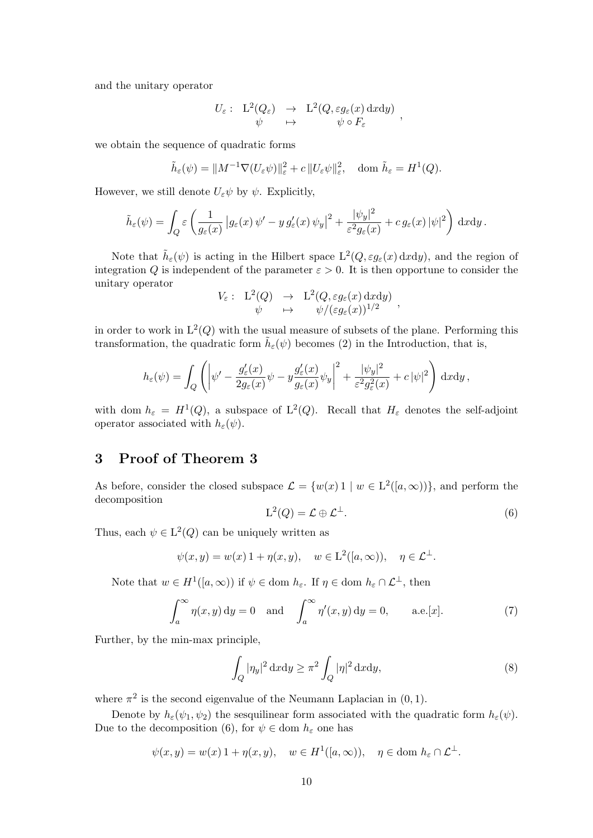and the unitary operator

$$
U_{\varepsilon}: \begin{array}{ccc} L^2(Q_{\varepsilon}) & \to & L^2(Q, \varepsilon g_{\varepsilon}(x) \, \mathrm{d}x \mathrm{d}y) \\ \psi & \mapsto & \psi \circ F_{\varepsilon} \end{array},
$$

we obtain the sequence of quadratic forms

$$
\tilde{h}_{\varepsilon}(\psi) = ||M^{-1}\nabla(U_{\varepsilon}\psi)||_{\varepsilon}^{2} + c||U_{\varepsilon}\psi||_{\varepsilon}^{2}, \quad \text{dom } \tilde{h}_{\varepsilon} = H^{1}(Q).
$$

However, we still denote  $U_{\varepsilon}\psi$  by  $\psi$ . Explicitly,

$$
\tilde{h}_{\varepsilon}(\psi) = \int_{Q} \varepsilon \left( \frac{1}{g_{\varepsilon}(x)} \left| g_{\varepsilon}(x) \psi' - y g'_{\varepsilon}(x) \psi_{y} \right|^{2} + \frac{|\psi_{y}|^{2}}{\varepsilon^{2} g_{\varepsilon}(x)} + c g_{\varepsilon}(x) |\psi|^{2} \right) dxdy.
$$

Note that  $\tilde{h}_{\varepsilon}(\psi)$  is acting in the Hilbert space  $L^2(Q, \varepsilon g_{\varepsilon}(x) \,dx dy)$ , and the region of integration Q is independent of the parameter  $\varepsilon > 0$ . It is then opportune to consider the unitary operator

$$
V_{\varepsilon}: \begin{array}{rcl} \mathrm{L}^2(Q) & \to & \mathrm{L}^2(Q,\varepsilon g_{\varepsilon}(x) \, \mathrm{d}x \mathrm{d}y) \\ \psi & \mapsto & \psi/(\varepsilon g_{\varepsilon}(x))^{1/2} \end{array},
$$

in order to work in  $L^2(Q)$  with the usual measure of subsets of the plane. Performing this transformation, the quadratic form  $\tilde{h}_{\varepsilon}(\psi)$  becomes (2) in the Introduction, that is,

$$
h_{\varepsilon}(\psi) = \int_{Q} \left( \left| \psi' - \frac{g_{\varepsilon}'(x)}{2g_{\varepsilon}(x)} \psi - y \frac{g_{\varepsilon}'(x)}{g_{\varepsilon}(x)} \psi_{y} \right|^{2} + \frac{|\psi_{y}|^{2}}{\varepsilon^{2} g_{\varepsilon}^{2}(x)} + c |\psi|^{2} \right) dx dy,
$$

with dom  $h_{\varepsilon} = H^1(Q)$ , a subspace of  $L^2(Q)$ . Recall that  $H_{\varepsilon}$  denotes the self-adjoint operator associated with  $h_{\varepsilon}(\psi)$ .

# 3 Proof of Theorem 3

As before, consider the closed subspace  $\mathcal{L} = \{w(x) 1 \mid w \in L^2([a,\infty))\}$ , and perform the decomposition

$$
L^2(Q) = \mathcal{L} \oplus \mathcal{L}^\perp. \tag{6}
$$

Thus, each  $\psi \in L^2(Q)$  can be uniquely written as

$$
\psi(x, y) = w(x) 1 + \eta(x, y), \quad w \in L^2([a, \infty)), \quad \eta \in L^{\perp}.
$$

Note that  $w \in H^1([a,\infty))$  if  $\psi \in \text{dom } h_{\varepsilon}$ . If  $\eta \in \text{dom } h_{\varepsilon} \cap \mathcal{L}^{\perp}$ , then

$$
\int_{a}^{\infty} \eta(x, y) dy = 0 \quad \text{and} \quad \int_{a}^{\infty} \eta'(x, y) dy = 0, \qquad \text{a.e.}[x]. \tag{7}
$$

Further, by the min-max principle,

$$
\int_{Q} |\eta_y|^2 \, \mathrm{d}x \mathrm{d}y \ge \pi^2 \int_{Q} |\eta|^2 \, \mathrm{d}x \mathrm{d}y,\tag{8}
$$

where  $\pi^2$  is the second eigenvalue of the Neumann Laplacian in  $(0, 1)$ .

Denote by  $h_{\varepsilon}(\psi_1, \psi_2)$  the sesquilinear form associated with the quadratic form  $h_{\varepsilon}(\psi)$ . Due to the decomposition (6), for  $\psi \in \text{dom } h_{\varepsilon}$  one has

$$
\psi(x, y) = w(x) \, 1 + \eta(x, y), \quad w \in H^1([a, \infty)), \quad \eta \in \text{dom } h_\varepsilon \cap \mathcal{L}^\perp.
$$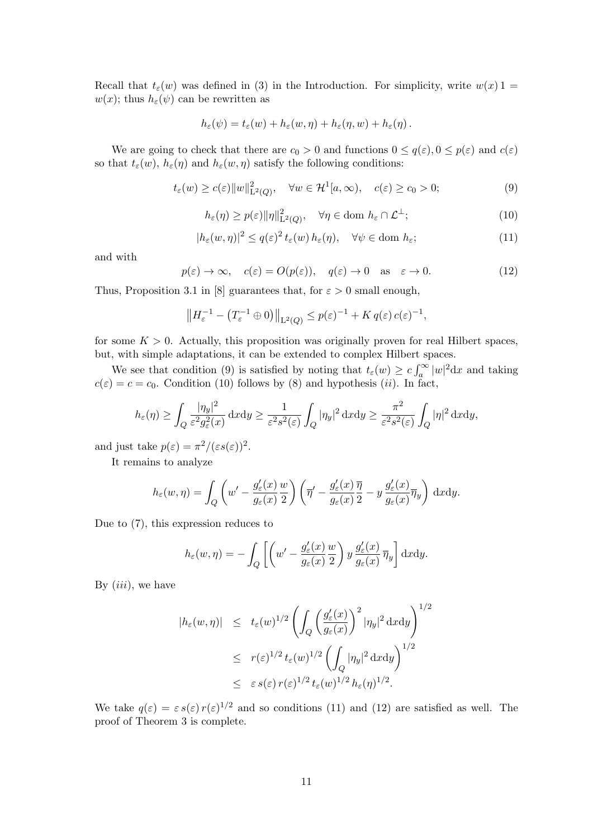Recall that  $t_{\varepsilon}(w)$  was defined in (3) in the Introduction. For simplicity, write  $w(x)$  1 =  $w(x)$ ; thus  $h_{\varepsilon}(\psi)$  can be rewritten as

$$
h_{\varepsilon}(\psi) = t_{\varepsilon}(w) + h_{\varepsilon}(w, \eta) + h_{\varepsilon}(\eta, w) + h_{\varepsilon}(\eta).
$$

We are going to check that there are  $c_0 > 0$  and functions  $0 \leq q(\varepsilon)$ ,  $0 \leq p(\varepsilon)$  and  $c(\varepsilon)$ so that  $t_{\varepsilon}(w)$ ,  $h_{\varepsilon}(\eta)$  and  $h_{\varepsilon}(w, \eta)$  satisfy the following conditions:

$$
t_{\varepsilon}(w) \ge c(\varepsilon) \|w\|_{\mathcal{L}^{2}(Q)}^{2}, \quad \forall w \in \mathcal{H}^{1}[a,\infty), \quad c(\varepsilon) \ge c_{0} > 0;
$$
 (9)

$$
h_{\varepsilon}(\eta) \ge p(\varepsilon) \|\eta\|_{\mathcal{L}^{2}(Q)}^{2}, \quad \forall \eta \in \text{dom } h_{\varepsilon} \cap \mathcal{L}^{\perp};\tag{10}
$$

$$
|h_{\varepsilon}(w,\eta)|^2 \le q(\varepsilon)^2 t_{\varepsilon}(w) h_{\varepsilon}(\eta), \quad \forall \psi \in \text{dom } h_{\varepsilon};
$$
\n(11)

and with

$$
p(\varepsilon) \to \infty
$$
,  $c(\varepsilon) = O(p(\varepsilon))$ ,  $q(\varepsilon) \to 0$  as  $\varepsilon \to 0$ . (12)

Thus, Proposition 3.1 in [8] guarantees that, for  $\varepsilon > 0$  small enough,

$$
\left\|H_{\varepsilon}^{-1} - \left(T_{\varepsilon}^{-1} \oplus 0\right)\right\|_{\mathcal{L}^2(Q)} \le p(\varepsilon)^{-1} + K q(\varepsilon) c(\varepsilon)^{-1},
$$

for some  $K > 0$ . Actually, this proposition was originally proven for real Hilbert spaces, but, with simple adaptations, it can be extended to complex Hilbert spaces.

We see that condition (9) is satisfied by noting that  $t_{\varepsilon}(w) \geq c \int_{a}^{\infty} |w|^2 dx$  and taking  $c(\varepsilon) = c = c_0$ . Condition (10) follows by (8) and hypothesis (*ii*). In fact,

$$
h_{\varepsilon}(\eta) \ge \int_{Q} \frac{|\eta_{y}|^{2}}{\varepsilon^{2} g_{\varepsilon}^{2}(x)} \, \mathrm{d}x \mathrm{d}y \ge \frac{1}{\varepsilon^{2} s^{2}(\varepsilon)} \int_{Q} |\eta_{y}|^{2} \, \mathrm{d}x \mathrm{d}y \ge \frac{\pi^{2}}{\varepsilon^{2} s^{2}(\varepsilon)} \int_{Q} |\eta|^{2} \, \mathrm{d}x \mathrm{d}y,
$$

and just take  $p(\varepsilon) = \pi^2/(\varepsilon s(\varepsilon))^2$ .

It remains to analyze

$$
h_{\varepsilon}(w,\eta) = \int_{Q} \left( w' - \frac{g_{\varepsilon}'(x)}{g_{\varepsilon}(x)} \frac{w}{2} \right) \left( \overline{\eta}' - \frac{g_{\varepsilon}'(x)}{g_{\varepsilon}(x)} \frac{\overline{\eta}}{2} - y \frac{g_{\varepsilon}'(x)}{g_{\varepsilon}(x)} \overline{\eta}_{y} \right) dxdy.
$$

Due to (7), this expression reduces to

$$
h_{\varepsilon}(w,\eta) = -\int_{Q} \left[ \left( w' - \frac{g_{\varepsilon}'(x)}{g_{\varepsilon}(x)} \frac{w}{2} \right) y \frac{g_{\varepsilon}'(x)}{g_{\varepsilon}(x)} \overline{\eta}_{y} \right] dx dy.
$$

By  $(iii)$ , we have

$$
|h_{\varepsilon}(w,\eta)| \leq t_{\varepsilon}(w)^{1/2} \left( \int_{Q} \left( \frac{g_{\varepsilon}'(x)}{g_{\varepsilon}(x)} \right)^{2} |\eta_{y}|^{2} \, \mathrm{d}x \mathrm{d}y \right)^{1/2}
$$
  

$$
\leq r(\varepsilon)^{1/2} t_{\varepsilon}(w)^{1/2} \left( \int_{Q} |\eta_{y}|^{2} \, \mathrm{d}x \mathrm{d}y \right)^{1/2}
$$
  

$$
\leq \varepsilon s(\varepsilon) r(\varepsilon)^{1/2} t_{\varepsilon}(w)^{1/2} h_{\varepsilon}(\eta)^{1/2}.
$$

We take  $q(\varepsilon) = \varepsilon s(\varepsilon) r(\varepsilon)^{1/2}$  and so conditions (11) and (12) are satisfied as well. The proof of Theorem 3 is complete.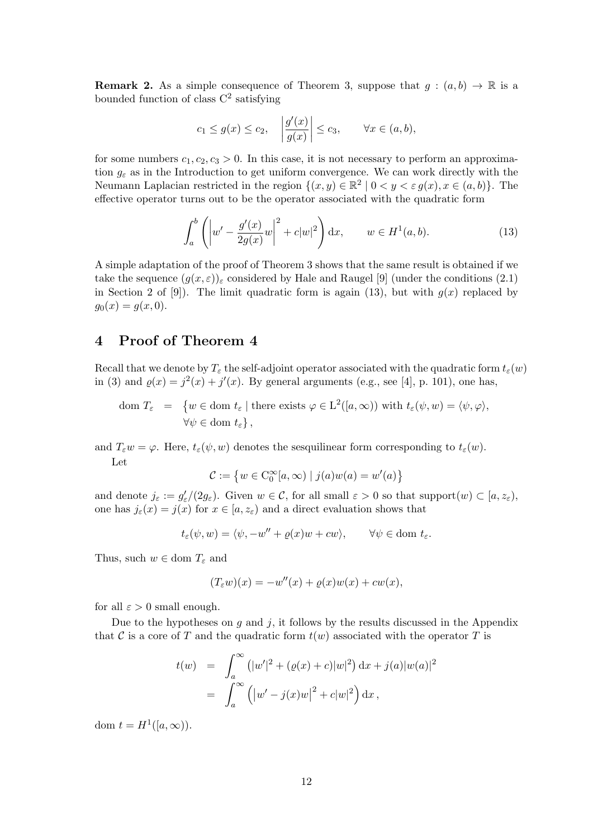**Remark 2.** As a simple consequence of Theorem 3, suppose that  $q : (a, b) \to \mathbb{R}$  is a bounded function of class  $C^2$  satisfying

$$
c_1 \le g(x) \le c_2
$$
,  $\left| \frac{g'(x)}{g(x)} \right| \le c_3$ ,  $\forall x \in (a, b)$ ,

for some numbers  $c_1, c_2, c_3 > 0$ . In this case, it is not necessary to perform an approximation  $q_{\varepsilon}$  as in the Introduction to get uniform convergence. We can work directly with the Neumann Laplacian restricted in the region  $\{(x, y) \in \mathbb{R}^2 \mid 0 < y < \varepsilon g(x), x \in (a, b)\}.$  The effective operator turns out to be the operator associated with the quadratic form

$$
\int_{a}^{b} \left( \left| w' - \frac{g'(x)}{2g(x)} w \right|^{2} + c|w|^{2} \right) dx, \qquad w \in H^{1}(a, b).
$$
 (13)

A simple adaptation of the proof of Theorem 3 shows that the same result is obtained if we take the sequence  $(q(x, \varepsilon))_{\varepsilon}$  considered by Hale and Raugel [9] (under the conditions (2.1) in Section 2 of [9]). The limit quadratic form is again (13), but with  $g(x)$  replaced by  $g_0(x) = g(x, 0).$ 

# 4 Proof of Theorem 4

Recall that we denote by  $T_{\varepsilon}$  the self-adjoint operator associated with the quadratic form  $t_{\varepsilon}(w)$ in (3) and  $\varrho(x) = j^2(x) + j'(x)$ . By general arguments (e.g., see [4], p. 101), one has,

$$
\text{dom } T_{\varepsilon} = \{ w \in \text{dom } t_{\varepsilon} \mid \text{there exists } \varphi \in \mathcal{L}^{2}([a, \infty)) \text{ with } t_{\varepsilon}(\psi, w) = \langle \psi, \varphi \rangle,
$$
  

$$
\forall \psi \in \text{dom } t_{\varepsilon} \},
$$

and  $T_{\varepsilon}w = \varphi$ . Here,  $t_{\varepsilon}(\psi, w)$  denotes the sesquilinear form corresponding to  $t_{\varepsilon}(w)$ . Let

$$
\mathcal{C} := \left\{ w \in \mathcal{C}_0^{\infty}[a,\infty) \mid j(a)w(a) = w'(a) \right\}
$$

and denote  $j_{\varepsilon} := g_{\varepsilon}'/(2g_{\varepsilon})$ . Given  $w \in \mathcal{C}$ , for all small  $\varepsilon > 0$  so that support $(w) \subset [a, z_{\varepsilon})$ , one has  $j_{\varepsilon}(x) = j(x)$  for  $x \in [a, z_{\varepsilon})$  and a direct evaluation shows that

$$
t_{\varepsilon}(\psi, w) = \langle \psi, -w'' + \varrho(x)w + cw \rangle, \qquad \forall \psi \in \text{dom } t_{\varepsilon}.
$$

Thus, such  $w \in \text{dom } T_{\varepsilon}$  and

$$
(T_{\varepsilon}w)(x) = -w''(x) + \varrho(x)w(x) + cw(x),
$$

for all  $\varepsilon > 0$  small enough.

Due to the hypotheses on  $g$  and  $j$ , it follows by the results discussed in the Appendix that C is a core of T and the quadratic form  $t(w)$  associated with the operator T is

$$
t(w) = \int_a^{\infty} (|w'|^2 + (\varrho(x) + c)|w|^2) dx + j(a)|w(a)|^2
$$
  
= 
$$
\int_a^{\infty} (|w' - j(x)w|^2 + c|w|^2) dx,
$$

dom  $t = H^1([a,\infty))$ .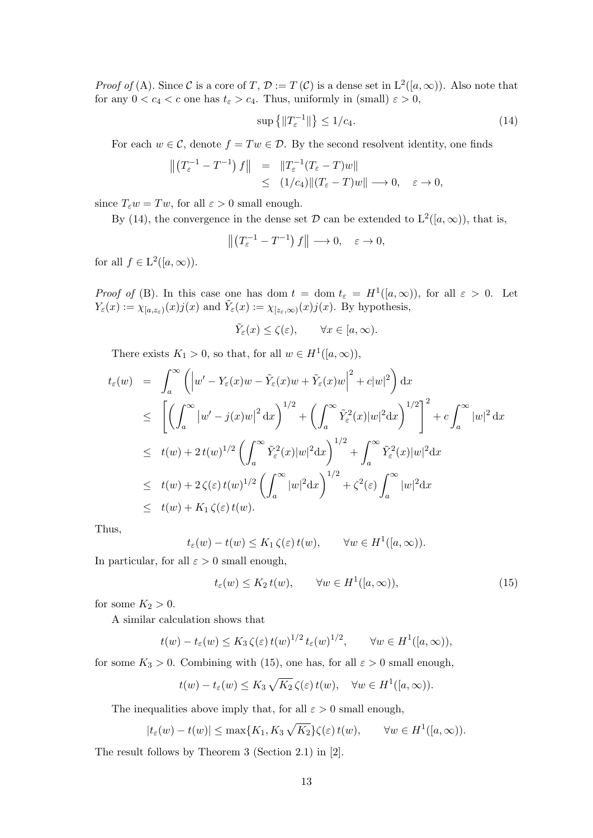*Proof of* (A). Since C is a core of T,  $\mathcal{D} := T(\mathcal{C})$  is a dense set in  $L^2([a,\infty))$ . Also note that for any  $0 < c_4 < c$  one has  $t_{\varepsilon} > c_4$ . Thus, uniformly in (small)  $\varepsilon > 0$ ,

$$
\sup\left\{\|T_{\varepsilon}^{-1}\|\right\} \le 1/c_4. \tag{14}
$$

For each  $w \in \mathcal{C}$ , denote  $f = Tw \in \mathcal{D}$ . By the second resolvent identity, one finds

$$
\begin{array}{rcl}\n\left\|\left(T_{\varepsilon}^{-1}-T^{-1}\right)f\right\| & = & \left\|T_{\varepsilon}^{-1}(T_{\varepsilon}-T)w\right\| \\
& \leq & (1/c_4)\|(T_{\varepsilon}-T)w\| \longrightarrow 0, \quad \varepsilon \to 0,\n\end{array}
$$

since  $T_{\varepsilon}w = Tw$ , for all  $\varepsilon > 0$  small enough.

By (14), the convergence in the dense set  $\mathcal D$  can be extended to  $L^2([a,\infty))$ , that is,

$$
\left\| \left( T_{\varepsilon}^{-1} - T^{-1} \right) f \right\| \longrightarrow 0, \quad \varepsilon \to 0,
$$

for all  $f \in L^2([a,\infty))$ .

*Proof of* (B). In this case one has dom  $t = \text{dom } t_{\varepsilon} = H^1([a,\infty))$ , for all  $\varepsilon > 0$ . Let  $Y_{\varepsilon}(x) := \chi_{[a,z_{\varepsilon})}(x)j(x)$  and  $\tilde{Y}_{\varepsilon}(x) := \chi_{[z_{\varepsilon},\infty)}(x)j(x)$ . By hypothesis,

 $\tilde{Y}_{\varepsilon}(x) \leq \zeta(\varepsilon), \qquad \forall x \in [a, \infty).$ 

There exists  $K_1 > 0$ , so that, for all  $w \in H^1([a,\infty))$ ,

$$
t_{\varepsilon}(w) = \int_{a}^{\infty} \left( \left| w' - Y_{\varepsilon}(x)w - \tilde{Y}_{\varepsilon}(x)w + \tilde{Y}_{\varepsilon}(x)w \right|^{2} + c|w|^{2} \right) dx
$$
  
\n
$$
\leq \left[ \left( \int_{a}^{\infty} \left| w' - j(x)w \right|^{2} dx \right)^{1/2} + \left( \int_{a}^{\infty} \tilde{Y}_{\varepsilon}^{2}(x) |w|^{2} dx \right)^{1/2} \right]^{2} + c \int_{a}^{\infty} |w|^{2} dx
$$
  
\n
$$
\leq t(w) + 2 t(w)^{1/2} \left( \int_{a}^{\infty} \tilde{Y}_{\varepsilon}^{2}(x) |w|^{2} dx \right)^{1/2} + \int_{a}^{\infty} \tilde{Y}_{\varepsilon}^{2}(x) |w|^{2} dx
$$
  
\n
$$
\leq t(w) + 2 \zeta(\varepsilon) t(w)^{1/2} \left( \int_{a}^{\infty} |w|^{2} dx \right)^{1/2} + \zeta^{2}(\varepsilon) \int_{a}^{\infty} |w|^{2} dx
$$
  
\n
$$
\leq t(w) + K_{1} \zeta(\varepsilon) t(w).
$$

Thus,

$$
t_{\varepsilon}(w) - t(w) \leq K_1 \zeta(\varepsilon) t(w), \quad \forall w \in H^1([a, \infty)).
$$

In particular, for all  $\varepsilon > 0$  small enough,

$$
t_{\varepsilon}(w) \le K_2 t(w), \qquad \forall w \in H^1([a,\infty)), \tag{15}
$$

for some  $K_2 > 0$ .

A similar calculation shows that

$$
t(w) - t_{\varepsilon}(w) \leq K_3 \zeta(\varepsilon) t(w)^{1/2} t_{\varepsilon}(w)^{1/2}, \qquad \forall w \in H^1([a, \infty)),
$$

for some  $K_3 > 0$ . Combining with (15), one has, for all  $\varepsilon > 0$  small enough,

$$
t(w) - t_{\varepsilon}(w) \leq K_3 \sqrt{K_2} \zeta(\varepsilon) t(w), \quad \forall w \in H^1([a, \infty)).
$$

The inequalities above imply that, for all  $\varepsilon > 0$  small enough,

$$
|t_{\varepsilon}(w) - t(w)| \le \max\{K_1, K_3 \sqrt{K_2}\} \zeta(\varepsilon) t(w), \qquad \forall w \in H^1([a, \infty)).
$$

The result follows by Theorem 3 (Section 2.1) in [2].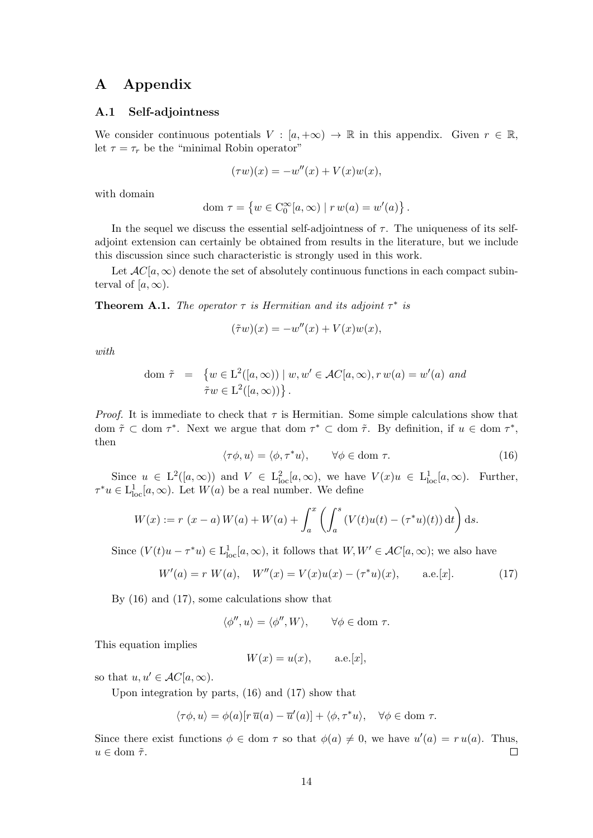# A Appendix

#### A.1 Self-adjointness

We consider continuous potentials  $V : [a, +\infty) \to \mathbb{R}$  in this appendix. Given  $r \in \mathbb{R}$ , let  $\tau = \tau_r$  be the "minimal Robin operator"

$$
(\tau w)(x) = -w''(x) + V(x)w(x),
$$

with domain

$$
\text{dom } \tau = \left\{ w \in C_0^{\infty}[a, \infty) \mid r w(a) = w'(a) \right\}.
$$

In the sequel we discuss the essential self-adjointness of  $\tau$ . The uniqueness of its selfadjoint extension can certainly be obtained from results in the literature, but we include this discussion since such characteristic is strongly used in this work.

Let  $AC[a,\infty)$  denote the set of absolutely continuous functions in each compact subinterval of  $[a,\infty)$ .

**Theorem A.1.** The operator  $\tau$  is Hermitian and its adjoint  $\tau^*$  is

$$
(\tilde{\tau}w)(x) = -w''(x) + V(x)w(x),
$$

with

dom 
$$
\tilde{\tau} = \{ w \in L^2([a, \infty)) \mid w, w' \in AC[a, \infty), r w(a) = w'(a) \text{ and}
$$
  
\n $\tilde{\tau}w \in L^2([a, \infty)) \}.$ 

*Proof.* It is immediate to check that  $\tau$  is Hermitian. Some simple calculations show that dom  $\tilde{\tau} \subset$  dom  $\tau^*$ . Next we argue that dom  $\tau^* \subset$  dom  $\tilde{\tau}$ . By definition, if  $u \in$  dom  $\tau^*$ , then

$$
\langle \tau \phi, u \rangle = \langle \phi, \tau^* u \rangle, \qquad \forall \phi \in \text{dom } \tau. \tag{16}
$$

Since  $u \in L^2([a,\infty))$  and  $V \in L^2_{loc}[a,\infty)$ , we have  $V(x)u \in L^1_{loc}[a,\infty)$ . Further,  $\tau^*u \in L^1_{loc}[a,\infty)$ . Let  $W(a)$  be a real number. We define

$$
W(x) := r (x - a) W(a) + W(a) + \int_a^x \left( \int_a^s (V(t)u(t) - (\tau^* u)(t)) dt \right) ds.
$$

Since  $(V(t)u - \tau^*u) \in L^1_{loc}[a,\infty)$ , it follows that  $W, W' \in AC[a,\infty)$ ; we also have

$$
W'(a) = r W(a), \quad W''(x) = V(x)u(x) - (\tau^*u)(x), \quad \text{a.e.}[x]. \tag{17}
$$

By (16) and (17), some calculations show that

$$
\langle \phi'', u \rangle = \langle \phi'', W \rangle, \qquad \forall \phi \in \text{dom } \tau.
$$

This equation implies

 $W(x) = u(x),$  a.e.[x],

so that  $u, u' \in AC[a, \infty)$ .

Upon integration by parts, (16) and (17) show that

$$
\langle \tau \phi, u \rangle = \phi(a)[r \, \overline{u}(a) - \overline{u}'(a)] + \langle \phi, \tau^* u \rangle, \quad \forall \phi \in \text{dom } \tau.
$$

Since there exist functions  $\phi \in \text{dom } \tau$  so that  $\phi(a) \neq 0$ , we have  $u'(a) = ru(a)$ . Thus,  $u \in \text{dom } \tilde{\tau}.$  $\Box$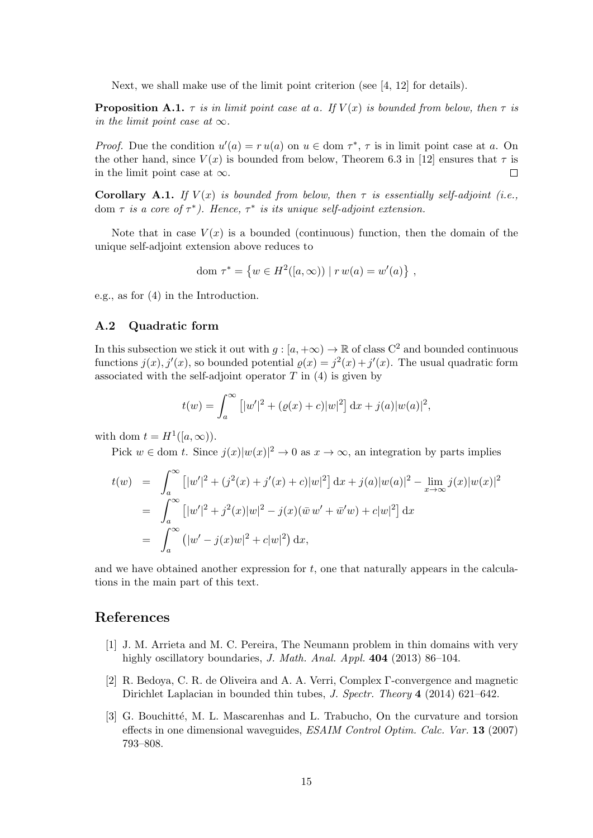Next, we shall make use of the limit point criterion (see [4, 12] for details).

**Proposition A.1.**  $\tau$  is in limit point case at a. If  $V(x)$  is bounded from below, then  $\tau$  is in the limit point case at  $\infty$ .

*Proof.* Due the condition  $u'(a) = ru(a)$  on  $u \in \text{dom } \tau^*$ ,  $\tau$  is in limit point case at a. On the other hand, since  $V(x)$  is bounded from below. Theorem 6.3 in [12] ensures that  $\tau$  is in the limit point case at  $\infty$ . П

**Corollary A.1.** If  $V(x)$  is bounded from below, then  $\tau$  is essentially self-adjoint (i.e., dom  $\tau$  is a core of  $\tau^*$ ). Hence,  $\tau^*$  is its unique self-adjoint extension.

Note that in case  $V(x)$  is a bounded (continuous) function, then the domain of the unique self-adjoint extension above reduces to

dom 
$$
\tau^* = \{ w \in H^2([a, \infty)) | r w(a) = w'(a) \},
$$

e.g., as for (4) in the Introduction.

#### A.2 Quadratic form

In this subsection we stick it out with  $g : [a, +\infty) \to \mathbb{R}$  of class  $C^2$  and bounded continuous functions  $j(x)$ ,  $j'(x)$ , so bounded potential  $\varrho(x) = j^2(x) + j'(x)$ . The usual quadratic form associated with the self-adjoint operator  $T$  in (4) is given by

$$
t(w) = \int_a^{\infty} [|w'|^2 + (\varrho(x) + c)|w|^2] dx + j(a)|w(a)|^2,
$$

with dom  $t = H^1([a,\infty))$ .

Pick  $w \in \text{dom } t$ . Since  $j(x)|w(x)|^2 \to 0$  as  $x \to \infty$ , an integration by parts implies

$$
t(w) = \int_{a}^{\infty} \left[ |w'|^{2} + (j^{2}(x) + j'(x) + c)|w|^{2} \right] dx + j(a)|w(a)|^{2} - \lim_{x \to \infty} j(x)|w(x)|^{2}
$$
  
= 
$$
\int_{a}^{\infty} \left[ |w'|^{2} + j^{2}(x)|w|^{2} - j(x)(\overline{w}w' + \overline{w}'w) + c|w|^{2} \right] dx
$$
  
= 
$$
\int_{a}^{\infty} \left( |w' - j(x)w|^{2} + c|w|^{2} \right) dx,
$$

and we have obtained another expression for  $t$ , one that naturally appears in the calculations in the main part of this text.

### References

- [1] J. M. Arrieta and M. C. Pereira, The Neumann problem in thin domains with very highly oscillatory boundaries, *J. Math. Anal. Appl.* **404** (2013) 86-104.
- [2] R. Bedoya, C. R. de Oliveira and A. A. Verri, Complex Γ-convergence and magnetic Dirichlet Laplacian in bounded thin tubes, J. Spectr. Theory 4 (2014) 621–642.
- [3] G. Bouchitté, M. L. Mascarenhas and L. Trabucho, On the curvature and torsion effects in one dimensional waveguides, ESAIM Control Optim. Calc. Var. 13 (2007) 793–808.